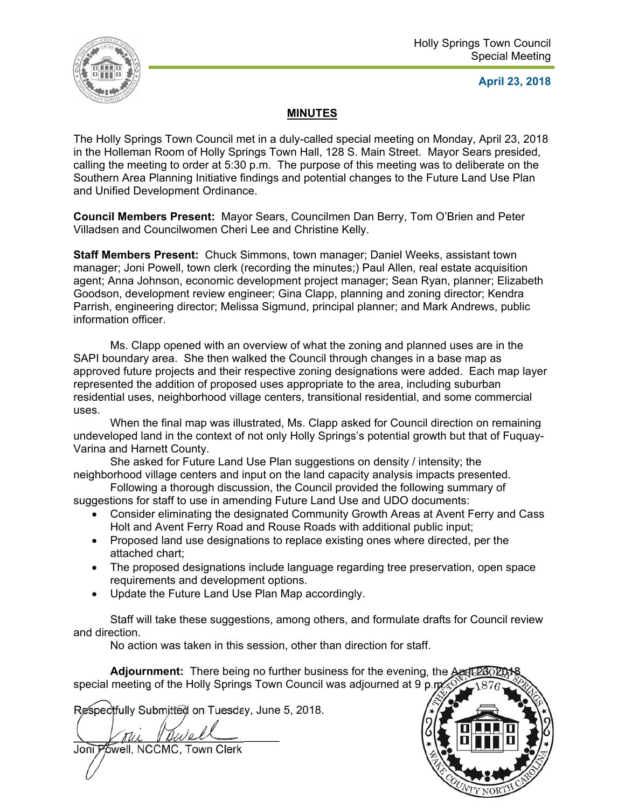

**April 23, 2018** 

## **MINUTES**

The Holly Springs Town Council met in a duly-called special meeting on Monday, April 23, 2018 in the Holleman Room of Holly Springs Town Hall, 128 S. Main Street. Mayor Sears presided, calling the meeting to order at 5:30 p.m. The purpose of this meeting was to deliberate on the Southern Area Planning Initiative findings and potential changes to the Future Land Use Plan and Unified Development Ordinance.

**Council Members Present:** Mayor Sears, Councilmen Dan Berry, Tom O'Brien and Peter Villadsen and Councilwomen Cheri Lee and Christine Kelly.

**Staff Members Present:** Chuck Simmons, town manager; Daniel Weeks, assistant town manager; Joni Powell, town clerk (recording the minutes;) Paul Allen, real estate acquisition agent; Anna Johnson, economic development project manager; Sean Ryan, planner; Elizabeth Goodson, development review engineer; Gina Clapp, planning and zoning director; Kendra Parrish, engineering director; Melissa Sigmund, principal planner; and Mark Andrews, public information officer.

Ms. Clapp opened with an overview of what the zoning and planned uses are in the SAPI boundary area. She then walked the Council through changes in a base map as approved future projects and their respective zoning designations were added. Each map layer represented the addition of proposed uses appropriate to the area, including suburban residential uses, neighborhood village centers, transitional residential, and some commercial uses.

When the final map was illustrated, Ms. Clapp asked for Council direction on remaining undeveloped land in the context of not only Holly Springs's potential growth but that of Fuquay-Varina and Harnett County.

She asked for Future Land Use Plan suggestions on density / intensity; the neighborhood village centers and input on the land capacity analysis impacts presented.

Following a thorough discussion, the Council provided the following summary of suggestions for staff to use in amending Future Land Use and UDO documents:

- Consider eliminating the designated Community Growth Areas at Avent Ferry and Cass Holt and Avent Ferry Road and Rouse Roads with additional public input;
- Proposed land use designations to replace existing ones where directed, per the attached chart;
- The proposed designations include language regarding tree preservation, open space requirements and development options.
- Update the Future Land Use Plan Map accordingly.

Staff will take these suggestions, among others, and formulate drafts for Council review and direction.

No action was taken in this session, other than direction for staff.

**Adjournment:** There being no further business for the evening, the April 20 special meeting of the Holly Springs Town Council was adjourned at 9 p.m.

Respectfully Submitted on Tuesday, June 5, 2018.

 $\setminus$  Vrue Vewell

Joni Powell, NCCMC, Town Clerk

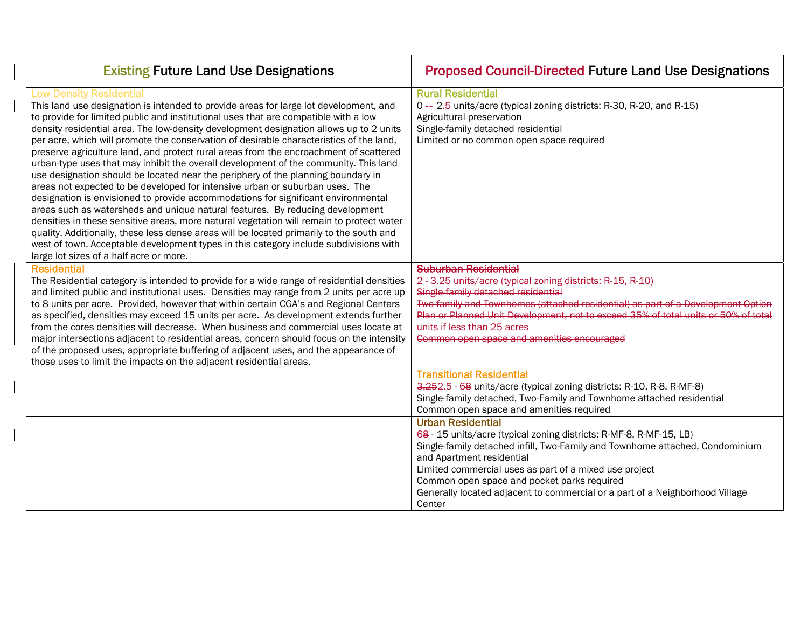| <b>Existing Future Land Use Designations</b>                                                                                                                                                                                                                                                                                                                                                                                                                                                                                                                                                                                                                                                                                                                                                                                                                                                                                                                                                                                                                                                                                                                                                                                                               | <b>Proposed Council Directed Future Land Use Designations</b>                                                                                                                                                                                                                                                                                                                                                  |
|------------------------------------------------------------------------------------------------------------------------------------------------------------------------------------------------------------------------------------------------------------------------------------------------------------------------------------------------------------------------------------------------------------------------------------------------------------------------------------------------------------------------------------------------------------------------------------------------------------------------------------------------------------------------------------------------------------------------------------------------------------------------------------------------------------------------------------------------------------------------------------------------------------------------------------------------------------------------------------------------------------------------------------------------------------------------------------------------------------------------------------------------------------------------------------------------------------------------------------------------------------|----------------------------------------------------------------------------------------------------------------------------------------------------------------------------------------------------------------------------------------------------------------------------------------------------------------------------------------------------------------------------------------------------------------|
| <b>Low Density Residential</b><br>This land use designation is intended to provide areas for large lot development, and<br>to provide for limited public and institutional uses that are compatible with a low<br>density residential area. The low-density development designation allows up to 2 units<br>per acre, which will promote the conservation of desirable characteristics of the land,<br>preserve agriculture land, and protect rural areas from the encroachment of scattered<br>urban-type uses that may inhibit the overall development of the community. This land<br>use designation should be located near the periphery of the planning boundary in<br>areas not expected to be developed for intensive urban or suburban uses. The<br>designation is envisioned to provide accommodations for significant environmental<br>areas such as watersheds and unique natural features. By reducing development<br>densities in these sensitive areas, more natural vegetation will remain to protect water<br>quality. Additionally, these less dense areas will be located primarily to the south and<br>west of town. Acceptable development types in this category include subdivisions with<br>large lot sizes of a half acre or more. | <b>Rural Residential</b><br>0 - 2.5 units/acre (typical zoning districts: R-30, R-20, and R-15)<br>Agricultural preservation<br>Single-family detached residential<br>Limited or no common open space required                                                                                                                                                                                                 |
| <b>Residential</b><br>The Residential category is intended to provide for a wide range of residential densities<br>and limited public and institutional uses. Densities may range from 2 units per acre up<br>to 8 units per acre. Provided, however that within certain CGA's and Regional Centers<br>as specified, densities may exceed 15 units per acre. As development extends further<br>from the cores densities will decrease. When business and commercial uses locate at<br>major intersections adjacent to residential areas, concern should focus on the intensity<br>of the proposed uses, appropriate buffering of adjacent uses, and the appearance of<br>those uses to limit the impacts on the adjacent residential areas.                                                                                                                                                                                                                                                                                                                                                                                                                                                                                                                | Suburban Residential<br>2 - 3.25 units/acre (typical zoning districts: R-15, R-10)<br>Single-family detached residential<br>Two family and Townhomes (attached residential) as part of a Development Option<br>Plan or Planned Unit Development, not to exceed 35% of total units or 50% of total<br>units if less than 25 acres<br>Common open space and amenities encouraged                                 |
|                                                                                                                                                                                                                                                                                                                                                                                                                                                                                                                                                                                                                                                                                                                                                                                                                                                                                                                                                                                                                                                                                                                                                                                                                                                            | <b>Transitional Residential</b><br>3.252.5 - 68 units/acre (typical zoning districts: R-10, R-8, R-MF-8)<br>Single-family detached, Two-Family and Townhome attached residential<br>Common open space and amenities required                                                                                                                                                                                   |
|                                                                                                                                                                                                                                                                                                                                                                                                                                                                                                                                                                                                                                                                                                                                                                                                                                                                                                                                                                                                                                                                                                                                                                                                                                                            | <b>Urban Residential</b><br>68 - 15 units/acre (typical zoning districts: R-MF-8, R-MF-15, LB)<br>Single-family detached infill, Two-Family and Townhome attached, Condominium<br>and Apartment residential<br>Limited commercial uses as part of a mixed use project<br>Common open space and pocket parks required<br>Generally located adjacent to commercial or a part of a Neighborhood Village<br>Center |

 $\mathbf{I}$ 

 $\mathbf{I}$ 

 $\begin{array}{c} \hline \end{array}$ 

 $\mathbf{I}$